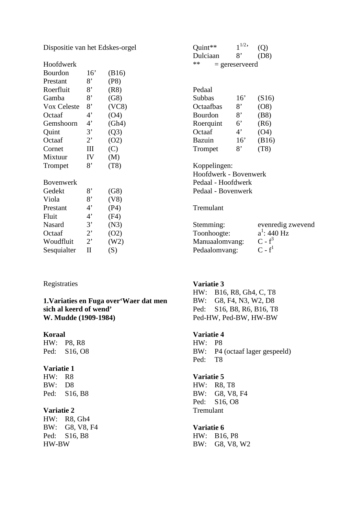Dispositie van het Edskes-orgel

| Hoofdwerk        |                            |       |
|------------------|----------------------------|-------|
| Bourdon          | 16'                        | (B16) |
| Prestant         | 8,                         | (P8)  |
| Roerfluit        | 8,                         | (R8)  |
| Gamba            | 8,                         | (G8)  |
| Vox Celeste      | 8,                         | (VC8) |
| Octaaf           | 4'                         | (O4)  |
| Gemshoorn        | 4'                         | (Gh4) |
| Quint            | 3'                         | (Q3)  |
| Octaaf           | $2^{\circ}$                | (O2)  |
| Cornet           | Ш                          | (C)   |
| Mixtuur          | IV                         | (M)   |
| Trompet          | 8'                         | (T8)  |
| <b>Bovenwerk</b> |                            |       |
|                  |                            |       |
| Gedekt           | 8,                         | (G8)  |
| Viola            | 8'                         | (V8)  |
| Prestant         | $4^{\circ}$                | (P4)  |
| Fluit            | $4^{\circ}$                | (F4)  |
| Nasard           | 3'                         | (N3)  |
| Octaaf           | $2^{\circ}$                | (02)  |
| Woudfluit        | $2^,$                      | (W2)  |
| Sesquialter      | $\mathop{\rm II}\nolimits$ | (S)   |

### Registraties

**1.Variaties en Fuga over'Waer dat men sich al keerd of wend' W. Mudde (1909-1984)** 

### **Koraal**

HW: P8, R8 Ped: S16, O8

# **Variatie 1**

HW: R8 BW: D8 Ped: S16, B8

### **Variatie 2**

HW: R8, Gh4 BW: G8, V8, F4 Ped: S16, B8 HW-BW

| Quint**                | $1^{1/2}$ | (Q)   |  |
|------------------------|-----------|-------|--|
| Dulciaan               | 8'        | (D8)  |  |
| **<br>$=$ gereserveerd |           |       |  |
|                        |           |       |  |
|                        |           |       |  |
| Pedaal                 |           |       |  |
| Subbas                 | 16'       | (S16) |  |
| Octaafbas              | 8'        | (08)  |  |
| <b>Bourdon</b>         | 8'        | (B8)  |  |
| Roerquint              | 6'        | (R6)  |  |
| Octaaf                 | 4'        | (04)  |  |
| Bazuin                 | 16'       | (B16) |  |
| Trompet                | 8,        | (T8)  |  |
| Koppelingen:           |           |       |  |
|                        |           |       |  |

Hoofdwerk - Bovenwerk Pedaal - Hoofdwerk Pedaal - Bovenwerk

# Tremulant

| evenredig zwevend |
|-------------------|
| $a^1$ : 440 Hz    |
| $C - f^3$         |
| $C - f1$          |
|                   |

# **Variatie 3**

HW: B16, R8, Gh4, C, T8 BW: G8, F4, N3, W2, D8 Ped: S16, B8, R6, B16, T8 Ped-HW, Ped-BW, HW-BW

# **Variatie 4**

HW: P8 BW: P4 (octaaf lager gespeeld) Ped: T8

# **Variatie 5**

HW: R8, T8 BW: G8, V8, F4 Ped: S16, O8 Tremulant

### **Variatie 6**

HW: B16, P8 BW: G8, V8, W2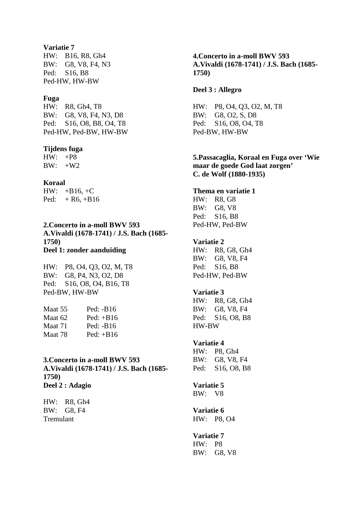### **Variatie 7**

HW: B16, R8, Gh4 BW: G8, V8, F4, N3 Ped: S16, B8 Ped-HW, HW-BW

### **Fuga**

HW: R8, Gh4, T8 BW: G8, V8, F4, N3, D8 Ped: S16, O8, B8, O4, T8 Ped-HW, Ped-BW, HW-BW

#### **Tijdens fuga**

HW: +P8 BW: +W2

#### **Koraal**

 $HW: +B16, +C$ Ped:  $+ R6, +B16$ 

**2.Concerto in a-moll BWV 593 A.Vivaldi (1678-1741) / J.S. Bach (1685- 1750) Deel 1: zonder aanduiding**

HW: P8, O4, Q3, O2, M, T8 BW: G8, P4, N3, O2, D8 Ped: S16, O8, O4, B16, T8 Ped-BW, HW-BW

| Maat 55 | Ped: $-B16$ |
|---------|-------------|
| Maat 62 | $Ped: +B16$ |
| Maat 71 | Ped: $-B16$ |
| Maat 78 | $Ped: +B16$ |

# **3.Concerto in a-moll BWV 593 A.Vivaldi (1678-1741) / J.S. Bach (1685- 1750) Deel 2 : Adagio**

HW: R8, Gh4 BW: G8, F4 Tremulant

**4.Concerto in a-moll BWV 593 A.Vivaldi (1678-1741) / J.S. Bach (1685- 1750)** 

### **Deel 3 : Allegro**

HW: P8, O4, Q3, O2, M, T8 BW: G8, O2, S, D8 Ped: S16, O8, O4, T8 Ped-BW, HW-BW

# **5.Passacaglia, Koraal en Fuga over 'Wie maar de goede God laat zorgen' C. de Wolf (1880-1935)**

### **Thema en variatie 1**

HW: R8, G8 BW: G8, V8 Ped: S16, B8 Ped-HW, Ped-BW

# **Variatie 2**

HW: R8, G8, Gh4 BW: G8, V8, F4 Ped: S16, B8 Ped-HW, Ped-BW

# **Variatie 3**

HW: R8, G8, Gh4 BW: G8, V8, F4 Ped: S16, O8, B8 HW-BW

### **Variatie 4**

HW: P8, Gh4 BW: G8, V8, F4 Ped: S16, O8, B8

# **Variatie 5**

BW: V8

#### **Variatie 6**  HW: P8, O4

### **Variatie 7**

HW: P8 BW: G8, V8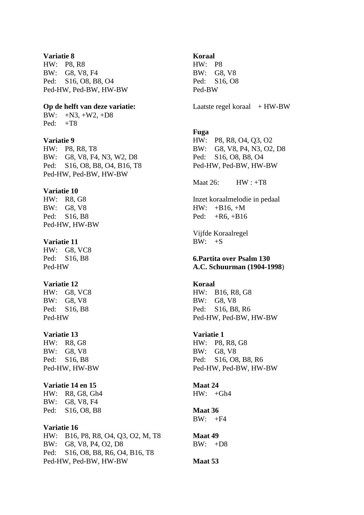#### **Variatie 8**

HW: P8, R8 BW: G8, V8, F4 Ped: S16, O8, B8, O4 Ped-HW, Ped-BW, HW-BW

### **Op de helft van deze variatie:**

BW:  $+N3, +W2, +D8$ Ped:  $+T8$ 

# **Variatie 9**

HW: P8, R8, T8 BW: G8, V8, F4, N3, W2, D8 Ped: S16, O8, B8, O4, B16, T8 Ped-HW, Ped-BW, HW-BW

### **Variatie 10**

HW: R8, G8 BW: G8, V8 Ped: S16, B8 Ped-HW, HW-BW

### **Variatie 11**

HW: G8, VC8 Ped: S16, B8 Ped-HW

# **Variatie 12**

HW: G8, VC8 BW: G8, V8 Ped: S16, B8 Ped-HW

### **Variatie 13**

HW: R8, G8 BW: G8, V8 Ped: S16, B8 Ped-HW, HW-BW

# **Variatie 14 en 15**

HW: R8, G8, Gh4 BW: G8, V8, F4 Ped: S16, O8, B8

### **Variatie 16**

HW: B16, P8, R8, O4, Q3, O2, M, T8 BW: G8, V8, P4, O2, D8 Ped: S16, O8, B8, R6, O4, B16, T8 Ped-HW, Ped-BW, HW-BW

#### **Koraal**

HW: P8 BW: G8, V8 Ped: S16, O8 Ped-BW

Laatste regel koraal  $+ HW-BW$ 

### **Fuga**

HW: P8, R8, O4, Q3, O2 BW: G8, V8, P4, N3, O2, D8 Ped: S16, O8, B8, O4 Ped-HW, Ped-BW, HW-BW

Maat 26: HW : +T8

Inzet koraalmelodie in pedaal  $HW: +B16, +M$ Ped: +R6, +B16

Vijfde Koraalregel  $BW: +S$ 

# **6.Partita over Psalm 130 A.C. Schuurman (1904-1998**)

### **Koraal**

HW: B16, R8, G8 BW: G8, V8 Ped: S16, B8, R6 Ped-HW, Ped-BW, HW-BW

#### **Variatie 1**

HW: P8, R8, G8 BW: G8, V8 Ped: S16, O8, B8, R6 Ped-HW, Ped-BW, HW-BW

#### **Maat 24**   $HW· + Gh4$

**Maat 36** 

 $BW: +F4$ 

### **Maat 49**   $BW: +D8$

**Maat 53**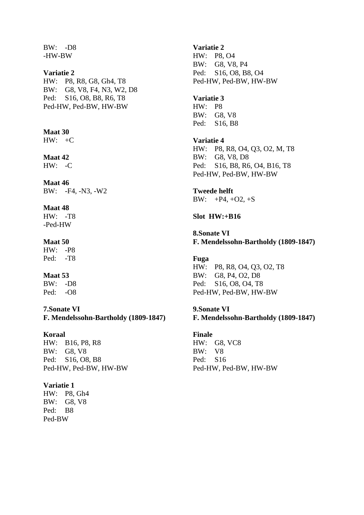BW: -D8 -HW-BW

### **Variatie 2**

HW: P8, R8, G8, Gh4, T8 BW: G8, V8, F4, N3, W2, D8 Ped: S16, O8, B8, R6, T8 Ped-HW, Ped-BW, HW-BW

# **Maat 30**

 $HW: +C$ 

# **Maat 42**

HW: -C

**Maat 46**  BW: -F4, -N3, -W2

#### **Maat 48**

HW: -T8 -Ped-HW

# **Maat 50**

HW: -P8 Ped: -T8

# **Maat 53**

BW: -D8 Ped: -O8

**7.Sonate VI F. Mendelssohn-Bartholdy (1809-1847)** 

# **Koraal**

HW: B16, P8, R8 BW: G8, V8 Ped: S16, O8, B8 Ped-HW, Ped-BW, HW-BW

# **Variatie 1**

HW: P8, Gh4 BW: G8, V8 Ped: B8 Ped-BW

# **Variatie 2**

HW: P8, O4 BW: G8, V8, P4 Ped: S16, O8, B8, O4 Ped-HW, Ped-BW, HW-BW

# **Variatie 3**

HW: P8 BW: G8, V8 Ped: S16, B8

**Variatie 4**  HW: P8, R8, O4, Q3, O2, M, T8 BW: G8, V8, D8 Ped: S16, B8, R6, O4, B16, T8 Ped-HW, Ped-BW, HW-BW

# **Tweede helft**

BW:  $+P4, +O2, +S$ 

**Slot HW:+B16** 

**8.Sonate VI F. Mendelssohn-Bartholdy (1809-1847)** 

#### **Fuga**

HW: P8, R8, O4, Q3, O2, T8 BW: G8, P4, O2, D8 Ped: S16, O8, O4, T8 Ped-HW, Ped-BW, HW-BW

### **9.Sonate VI**

**F. Mendelssohn-Bartholdy (1809-1847)** 

### **Finale**

HW: G8, VC8 BW: V8 Ped: S16 Ped-HW, Ped-BW, HW-BW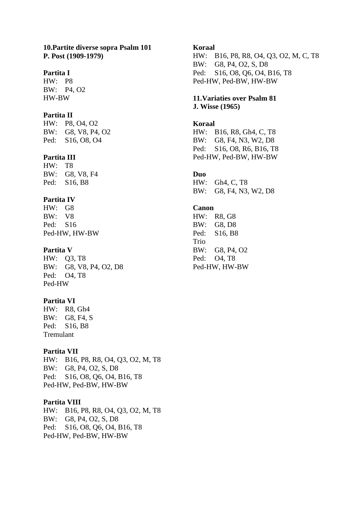# **10.Partite diverse sopra Psalm 101 P. Post (1909-1979)**

# **Partita I**

HW: P8 BW: P4, O2 HW-BW

# **Partita II**

HW: P8, O4, O2 BW: G8, V8, P4, O2 Ped: S16, O8, O4

# **Partita III**

HW: T8 BW: G8, V8, F4 Ped: S16, B8

# **Partita IV**

HW: G8 BW: V8 Ped: S16 Ped-HW, HW-BW

### **Partita V**

HW: Q3, T8 BW: G8, V8, P4, O2, D8 Ped: O4, T8 Ped-HW

# **Partita VI**

HW: R8, Gh4 BW: G8, F4, S Ped: S16, B8 Tremulant

# **Partita VII**

HW: B16, P8, R8, O4, Q3, O2, M, T8 BW: G8, P4, O2, S, D8 Ped: S16, O8, Q6, O4, B16, T8 Ped-HW, Ped-BW, HW-BW

### **Partita VIII**

HW: B16, P8, R8, O4, Q3, O2, M, T8 BW: G8, P4, O2, S, D8 Ped: S16, O8, Q6, O4, B16, T8 Ped-HW, Ped-BW, HW-BW

### **Koraal**

HW: B16, P8, R8, O4, Q3, O2, M, C, T8 BW: G8, P4, O2, S, D8 Ped: S16, O8, Q6, O4, B16, T8 Ped-HW, Ped-BW, HW-BW

# **11.Variaties over Psalm 81 J. Wisse (1965)**

### **Koraal**

HW: B16, R8, Gh4, C, T8 BW: G8, F4, N3, W2, D8 Ped: S16, O8, R6, B16, T8 Ped-HW, Ped-BW, HW-BW

# **Duo**

HW: Gh4, C, T8 BW: G8, F4, N3, W2, D8

# **Canon**

HW: R8, G8 BW: G8, D8 Ped: S16, B8 Trio BW: G8, P4, O2 Ped: O4, T8 Ped-HW, HW-BW